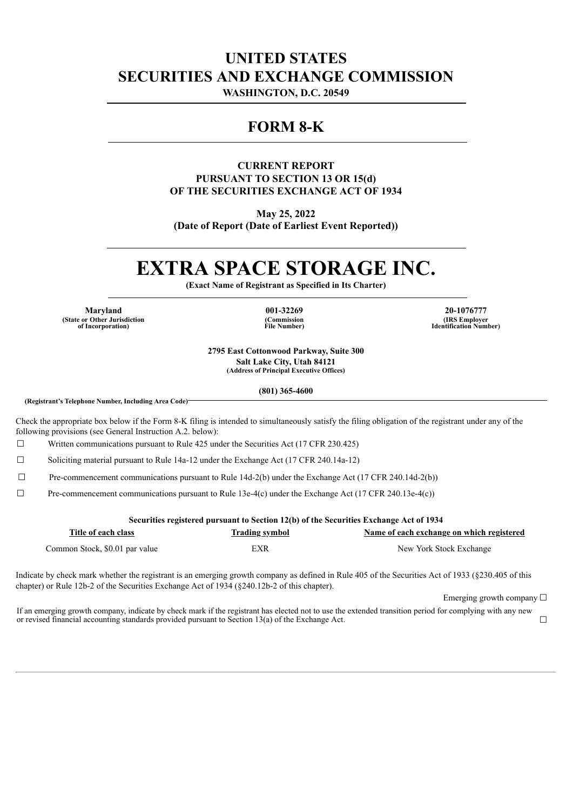## **UNITED STATES SECURITIES AND EXCHANGE COMMISSION**

**WASHINGTON, D.C. 20549**

### **FORM 8-K**

### **CURRENT REPORT PURSUANT TO SECTION 13 OR 15(d) OF THE SECURITIES EXCHANGE ACT OF 1934**

**May 25, 2022**

**(Date of Report (Date of Earliest Event Reported))**

# **EXTRA SPACE STORAGE INC.**

**(Exact Name of Registrant as Specified in Its Charter)**

**(State or Other Jurisdiction of Incorporation)**

**(Commission File Number)**

**Maryland 001-32269 20-1076777 (IRS Employer Identification Number)**

> **2795 East Cottonwood Parkway, Suite 300 Salt Lake City, Utah 84121 (Address of Principal Executive Offices)**

> > **(801) 365-4600**

**(Registrant's Telephone Number, Including Area Code)**

Check the appropriate box below if the Form 8-K filing is intended to simultaneously satisfy the filing obligation of the registrant under any of the following provisions (see General Instruction A.2. below):

☐ Written communications pursuant to Rule 425 under the Securities Act (17 CFR 230.425)

☐ Soliciting material pursuant to Rule 14a-12 under the Exchange Act (17 CFR 240.14a-12)

☐ Pre-commencement communications pursuant to Rule 14d-2(b) under the Exchange Act (17 CFR 240.14d-2(b))

 $\Box$  Pre-commencement communications pursuant to Rule 13e-4(c) under the Exchange Act (17 CFR 240.13e-4(c))

**Securities registered pursuant to Section 12(b) of the Securities Exchange Act of 1934**

| Title of each class            | <b>Trading symbol</b> | Name of each exchange on which registered |
|--------------------------------|-----------------------|-------------------------------------------|
| Common Stock, \$0.01 par value | EXR                   | New York Stock Exchange                   |

Indicate by check mark whether the registrant is an emerging growth company as defined in Rule 405 of the Securities Act of 1933 (§230.405 of this chapter) or Rule 12b-2 of the Securities Exchange Act of 1934 (§240.12b-2 of this chapter).

Emerging growth company  $\Box$ 

If an emerging growth company, indicate by check mark if the registrant has elected not to use the extended transition period for complying with any new or revised financial accounting standards provided pursuant to Section 13(a) of the Exchange Act.  $□$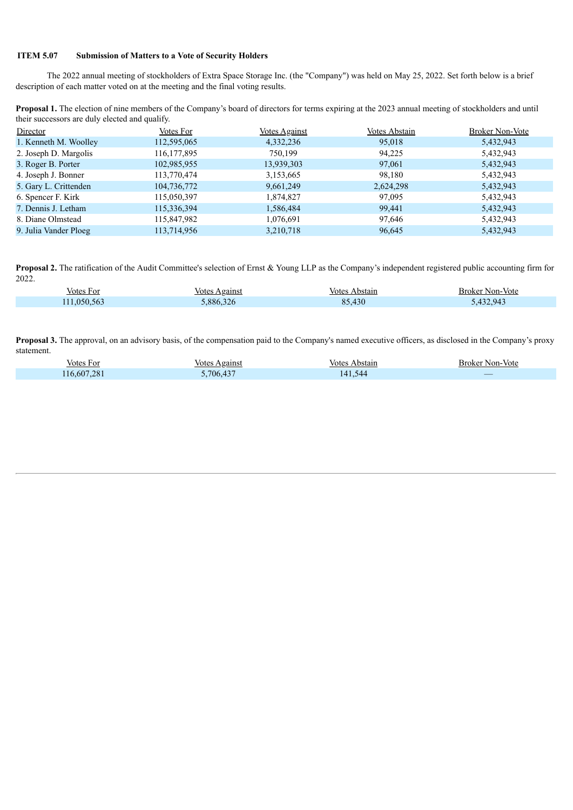#### **ITEM 5.07 Submission of Matters to a Vote of Security Holders**

The 2022 annual meeting of stockholders of Extra Space Storage Inc. (the "Company") was held on May 25, 2022. Set forth below is a brief description of each matter voted on at the meeting and the final voting results.

**Proposal 1.** The election of nine members of the Company's board of directors for terms expiring at the 2023 annual meeting of stockholders and until their successors are duly elected and qualify.

| Director              | Votes For     | <b>Votes Against</b> | Votes Abstain | <b>Broker Non-Vote</b> |
|-----------------------|---------------|----------------------|---------------|------------------------|
| 1. Kenneth M. Woolley | 112,595,065   | 4,332,236            | 95,018        | 5,432,943              |
| 2. Joseph D. Margolis | 116, 177, 895 | 750,199              | 94.225        | 5,432,943              |
| 3. Roger B. Porter    | 102,985,955   | 13,939,303           | 97,061        | 5,432,943              |
| 4. Joseph J. Bonner   | 113,770,474   | 3,153,665            | 98,180        | 5,432,943              |
| 5. Gary L. Crittenden | 104,736,772   | 9,661,249            | 2,624,298     | 5,432,943              |
| 6. Spencer F. Kirk    | 115,050,397   | 1,874,827            | 97,095        | 5,432,943              |
| 7. Dennis J. Letham   | 115,336,394   | 1,586,484            | 99,441        | 5,432,943              |
| 8. Diane Olmstead     | 115,847,982   | 1,076,691            | 97,646        | 5,432,943              |
| 9. Julia Vander Ploeg | 113,714,956   | 3,210,718            | 96,645        | 5,432,943              |

Proposal 2. The ratification of the Audit Committee's selection of Ernst & Young LLP as the Company's independent registered public accounting firm for 2022.

| votes    | Against                    | votes                | Non-Vote                                                  |
|----------|----------------------------|----------------------|-----------------------------------------------------------|
| . For    | votes                      | Abstain              | – Broket i                                                |
| .050.563 | $\sim$ $\sim$<br>886<br>26 | $\sqrt{2}$<br>$\sim$ | $\overline{a}$<br>$\mathbf{94}$<br>$\Delta'$<br>$-1.34.3$ |

**Proposal 3.** The approval, on an advisory basis, of the compensation paid to the Company's named executive officers, as disclosed in the Company's proxy statement.

| Votes For  | Againsi<br>votes | stain<br>/ote           | Non-<br>- Vote<br>– Broker |
|------------|------------------|-------------------------|----------------------------|
| 16.607.281 | .706.437         | 544<br>14 I<br>$\cdots$ | _                          |